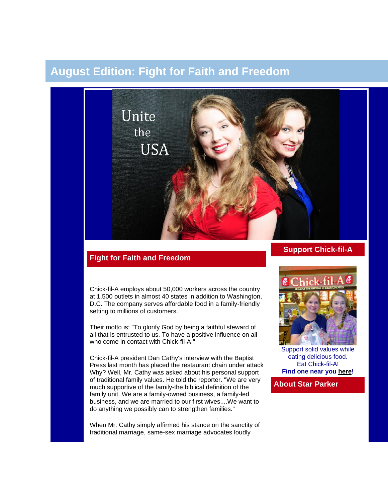# **August Edition: Fight for Faith and Freedom**



## **Fight for Faith and Freedom**

Chick-fil-A employs about 50,000 workers across the country at 1,500 outlets in almost 40 states in addition to Washington, D.C. The company serves affordable food in a family-friendly setting to millions of customers.

Their motto is: "To glorify God by being a faithful steward of all that is entrusted to us. To have a positive influence on all who come in contact with Chick-fil-A."

Chick-fil-A president Dan Cathy's interview with the Baptist Press last month has placed the restaurant chain under attack Why? Well, Mr. Cathy was asked about his personal support of traditional family values. He told the reporter. "We are very much supportive of the family-the biblical definition of the family unit. We are a family-owned business, a family-led business, and we are married to our first wives....We want to do anything we possibly can to strengthen families."

When Mr. Cathy simply affirmed his stance on the sanctity of traditional marriage, same-sex marriage advocates loudly

## **Support Chick-fil-A**



Support solid values while eating delicious food. Eat Chick-fil-A! **Find one near you [here!](http://www.chick-fil-a.com/Locations/Locator)**

**About Star Parker**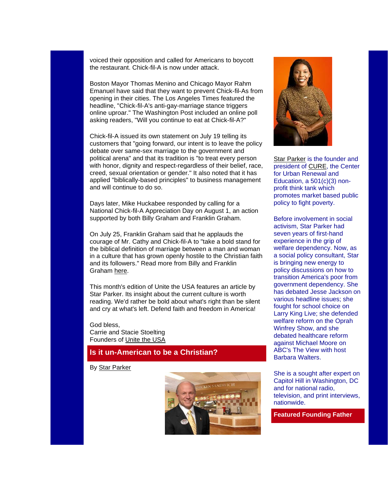voiced their opposition and called for Americans to boycott the restaurant. Chick-fil-A is now under attack.

Boston Mayor Thomas Menino and Chicago Mayor Rahm Emanuel have said that they want to prevent Chick-fil-As from opening in their cities. The Los Angeles Times featured the headline, "Chick-fil-A's anti-gay-marriage stance triggers online uproar." The Washington Post included an online poll asking readers, "Will you continue to eat at Chick-fil-A?"

Chick-fil-A issued its own statement on July 19 telling its customers that "going forward, our intent is to leave the policy debate over same-sex marriage to the government and political arena" and that its tradition is "to treat every person with honor, dignity and respect-regardless of their belief, race, creed, sexual orientation or gender." It also noted that it has applied "biblically-based principles" to business management and will continue to do so.

Days later, Mike Huckabee responded by calling for a National Chick-fil-A Appreciation Day on August 1, an action supported by both Billy Graham and Franklin Graham.

On July 25, Franklin Graham said that he applauds the courage of Mr. Cathy and Chick-fil-A to "take a bold stand for the biblical definition of marriage between a man and woman in a culture that has grown openly hostile to the Christian faith and its followers." Read more from Billy and Franklin Graham [here.](http://www.billygraham.org/articlepage.asp?articleid=8833&BA=2681&QR=116&utm_source=BGEAToday7.31.12&utm_medium=Email&utm_campaign=BGEAToday)

This month's edition of Unite the USA features an article by Star Parker. Its insight about the current culture is worth reading. We'd rather be bold about what's right than be silent and cry at what's left. Defend faith and freedom in America!

God bless, Carrie and Stacie Stoelting Founders of [Unite the USA](http://unitetheusa.org/index.html)

## **Is it un-American to be a Christian?**

By [Star Parker](http://www.urbancure.org/)





[Star Parker](http://www.urbancure.org/) is the founder and president of [CURE,](http://unitetheusa.org/id79.html) the Center for Urban Renewal and Education, a 501(c)(3) nonprofit think tank which promotes market based public policy to fight poverty.

Before involvement in social activism, Star Parker had seven years of first-hand experience in the grip of welfare dependency. Now, as a social policy consultant, Star is bringing new energy to policy discussions on how to transition America's poor from government dependency. She has debated Jesse Jackson on various headline issues; she fought for school choice on Larry King Live; she defended welfare reform on the Oprah Winfrey Show, and she debated healthcare reform against Michael Moore on ABC's The View with host Barbara Walters.

She is a sought after expert on Capitol Hill in Washington, DC and for national radio, television, and print interviews, nationwide.

**Featured Founding Father**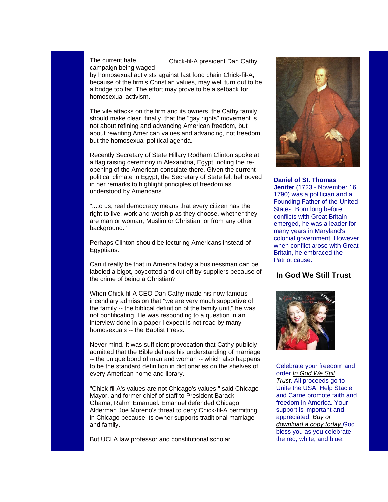#### Chick-fil-A president Dan Cathy

The current hate campaign being waged

by homosexual activists against fast food chain Chick-fil-A, because of the firm's Christian values, may well turn out to be a bridge too far. The effort may prove to be a setback for homosexual activism.

The vile attacks on the firm and its owners, the Cathy family, should make clear, finally, that the "gay rights" movement is not about refining and advancing American freedom, but about rewriting American values and advancing, not freedom, but the homosexual political agenda.

Recently Secretary of State Hillary Rodham Clinton spoke at a flag raising ceremony in Alexandria, Egypt, noting the reopening of the American consulate there. Given the current political climate in Egypt, the Secretary of State felt behooved in her remarks to highlight principles of freedom as understood by Americans.

"...to us, real democracy means that every citizen has the right to live, work and worship as they choose, whether they are man or woman, Muslim or Christian, or from any other background."

Perhaps Clinton should be lecturing Americans instead of Egyptians.

Can it really be that in America today a businessman can be labeled a bigot, boycotted and cut off by suppliers because of the crime of being a Christian?

When Chick-fil-A CEO Dan Cathy made his now famous incendiary admission that "we are very much supportive of the family -- the biblical definition of the family unit," he was not pontificating. He was responding to a question in an interview done in a paper I expect is not read by many homosexuals -- the Baptist Press.

Never mind. It was sufficient provocation that Cathy publicly admitted that the Bible defines his understanding of marriage -- the unique bond of man and woman -- which also happens to be the standard definition in dictionaries on the shelves of every American home and library.

"Chick-fil-A's values are not Chicago's values," said Chicago Mayor, and former chief of staff to President Barack Obama, Rahm Emanuel. Emanuel defended Chicago Alderman Joe Moreno's threat to deny Chick-fil-A permitting in Chicago because its owner supports traditional marriage and family.

But UCLA law professor and constitutional scholar



**Daniel of St. Thomas Jenifer** (1723 - November 16, 1790) was a politician and a Founding Father of the United States. Born long before conflicts with Great Britain emerged, he was a leader for many years in Maryland's colonial government. However, when conflict arose with Great Britain, he embraced the Patriot cause.

## **[In God We Still Trust](http://unitetheusa.org/id56.html)**



Celebrate your freedom and order *[In God We Still](http://r20.rs6.net/tn.jsp?e=0016KoUn1yaWdqIrOWPXZ5F3wZ8jHJEiD0dAJ6fJlE6fhRBfnVKMLQMdJoXGRKtkU4sqzPIn4HUvyUScdgdlDWuFd2xLi72b9UcVdDzqOd9N5UzIBwwHmlndA==)  [Trust](http://r20.rs6.net/tn.jsp?e=0016KoUn1yaWdqIrOWPXZ5F3wZ8jHJEiD0dAJ6fJlE6fhRBfnVKMLQMdJoXGRKtkU4sqzPIn4HUvyUScdgdlDWuFd2xLi72b9UcVdDzqOd9N5UzIBwwHmlndA==)*. All proceeds go to Unite the USA. Help Stacie and Carrie promote faith and freedom in America. Your support is important and appreciated. *[Buy or](http://unitetheusa.org/id56.html)  [download a copy today.](http://unitetheusa.org/id56.html)*God bless you as you celebrate the red, white, and blue!